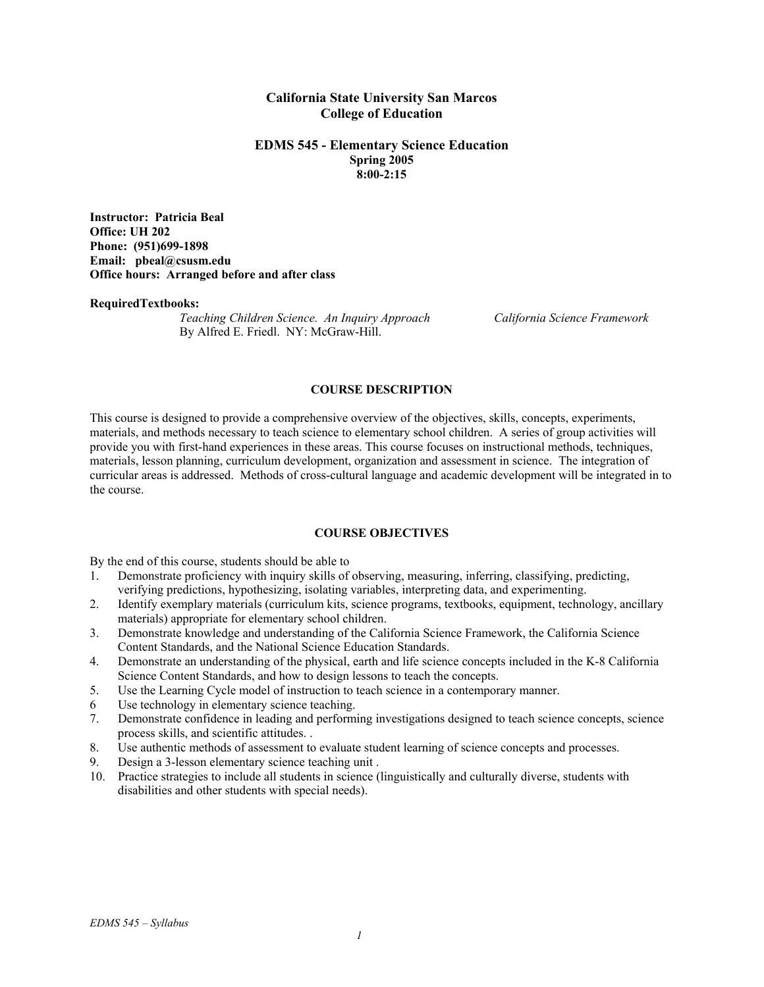## **California State University San Marcos College of Education**

#### **EDMS 545 - Elementary Science Education Spring 2005 8:00-2:15**

**Instructor: Patricia Beal Office: UH 202 Phone: (951)699-1898 Email: pbeal@csusm.edu Office hours: Arranged before and after class** 

#### **RequiredTextbooks:**

*Teaching Children Science. An Inquiry Approach California Science Framework* By Alfred E. Friedl. NY: McGraw-Hill.

#### **COURSE DESCRIPTION**

This course is designed to provide a comprehensive overview of the objectives, skills, concepts, experiments, materials, and methods necessary to teach science to elementary school children. A series of group activities will provide you with first-hand experiences in these areas. This course focuses on instructional methods, techniques, materials, lesson planning, curriculum development, organization and assessment in science. The integration of curricular areas is addressed. Methods of cross-cultural language and academic development will be integrated in to the course.

## **COURSE OBJECTIVES**

By the end of this course, students should be able to

- 1. Demonstrate proficiency with inquiry skills of observing, measuring, inferring, classifying, predicting, verifying predictions, hypothesizing, isolating variables, interpreting data, and experimenting.
- 2. Identify exemplary materials (curriculum kits, science programs, textbooks, equipment, technology, ancillary materials) appropriate for elementary school children.
- 3. Demonstrate knowledge and understanding of the California Science Framework, the California Science Content Standards, and the National Science Education Standards.
- 4. Demonstrate an understanding of the physical, earth and life science concepts included in the K-8 California Science Content Standards, and how to design lessons to teach the concepts.
- 5. Use the Learning Cycle model of instruction to teach science in a contemporary manner.
- 6 Use technology in elementary science teaching.
- 7. Demonstrate confidence in leading and performing investigations designed to teach science concepts, science process skills, and scientific attitudes. .
- 8. Use authentic methods of assessment to evaluate student learning of science concepts and processes.
- 9. Design a 3-lesson elementary science teaching unit .
- 10. Practice strategies to include all students in science (linguistically and culturally diverse, students with disabilities and other students with special needs).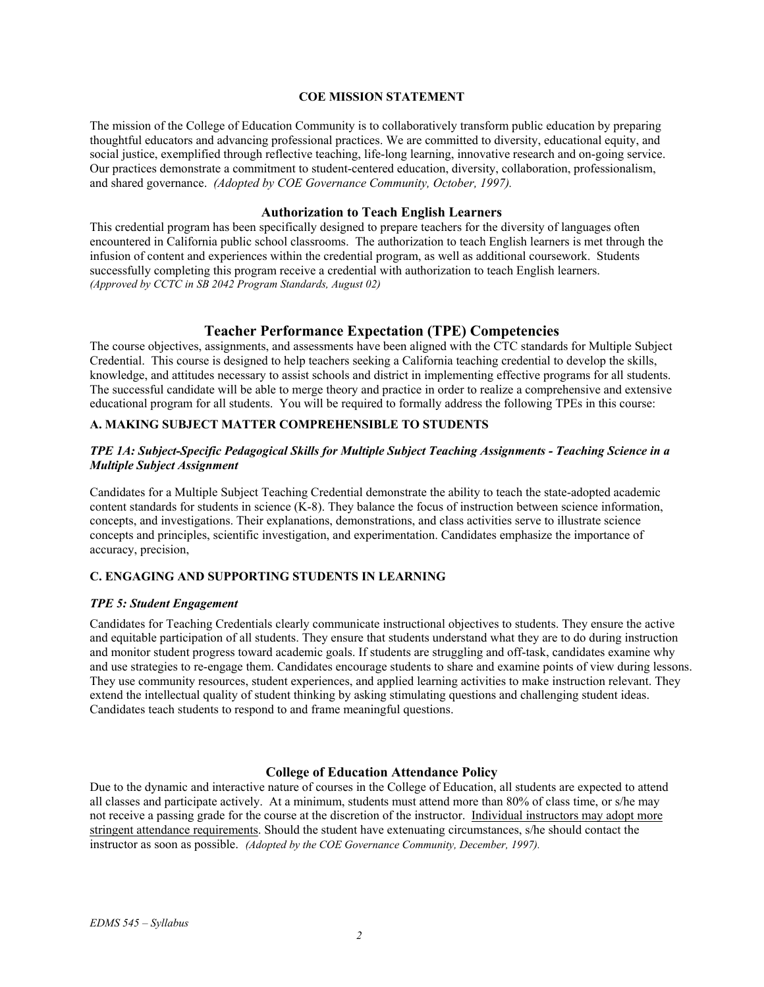## **COE MISSION STATEMENT**

The mission of the College of Education Community is to collaboratively transform public education by preparing thoughtful educators and advancing professional practices. We are committed to diversity, educational equity, and social justice, exemplified through reflective teaching, life-long learning, innovative research and on-going service. Our practices demonstrate a commitment to student-centered education, diversity, collaboration, professionalism, and shared governance. *(Adopted by COE Governance Community, October, 1997).* 

## **Authorization to Teach English Learners**

This credential program has been specifically designed to prepare teachers for the diversity of languages often encountered in California public school classrooms. The authorization to teach English learners is met through the infusion of content and experiences within the credential program, as well as additional coursework. Students successfully completing this program receive a credential with authorization to teach English learners. *(Approved by CCTC in SB 2042 Program Standards, August 02)*

## **Teacher Performance Expectation (TPE) Competencies**

The course objectives, assignments, and assessments have been aligned with the CTC standards for Multiple Subject Credential. This course is designed to help teachers seeking a California teaching credential to develop the skills, knowledge, and attitudes necessary to assist schools and district in implementing effective programs for all students. The successful candidate will be able to merge theory and practice in order to realize a comprehensive and extensive educational program for all students. You will be required to formally address the following TPEs in this course:

# **A. MAKING SUBJECT MATTER COMPREHENSIBLE TO STUDENTS**

## *TPE 1A: Subject-Specific Pedagogical Skills for Multiple Subject Teaching Assignments - Teaching Science in a Multiple Subject Assignment*

Candidates for a Multiple Subject Teaching Credential demonstrate the ability to teach the state-adopted academic content standards for students in science (K-8). They balance the focus of instruction between science information, concepts, and investigations. Their explanations, demonstrations, and class activities serve to illustrate science concepts and principles, scientific investigation, and experimentation. Candidates emphasize the importance of accuracy, precision,

# **C. ENGAGING AND SUPPORTING STUDENTS IN LEARNING**

### *TPE 5: Student Engagement*

Candidates for Teaching Credentials clearly communicate instructional objectives to students. They ensure the active and equitable participation of all students. They ensure that students understand what they are to do during instruction and monitor student progress toward academic goals. If students are struggling and off-task, candidates examine why and use strategies to re-engage them. Candidates encourage students to share and examine points of view during lessons. They use community resources, student experiences, and applied learning activities to make instruction relevant. They extend the intellectual quality of student thinking by asking stimulating questions and challenging student ideas. Candidates teach students to respond to and frame meaningful questions.

#### **College of Education Attendance Policy**

Due to the dynamic and interactive nature of courses in the College of Education, all students are expected to attend all classes and participate actively. At a minimum, students must attend more than 80% of class time, or s/he may not receive a passing grade for the course at the discretion of the instructor. Individual instructors may adopt more stringent attendance requirements. Should the student have extenuating circumstances, s/he should contact the instructor as soon as possible. *(Adopted by the COE Governance Community, December, 1997).*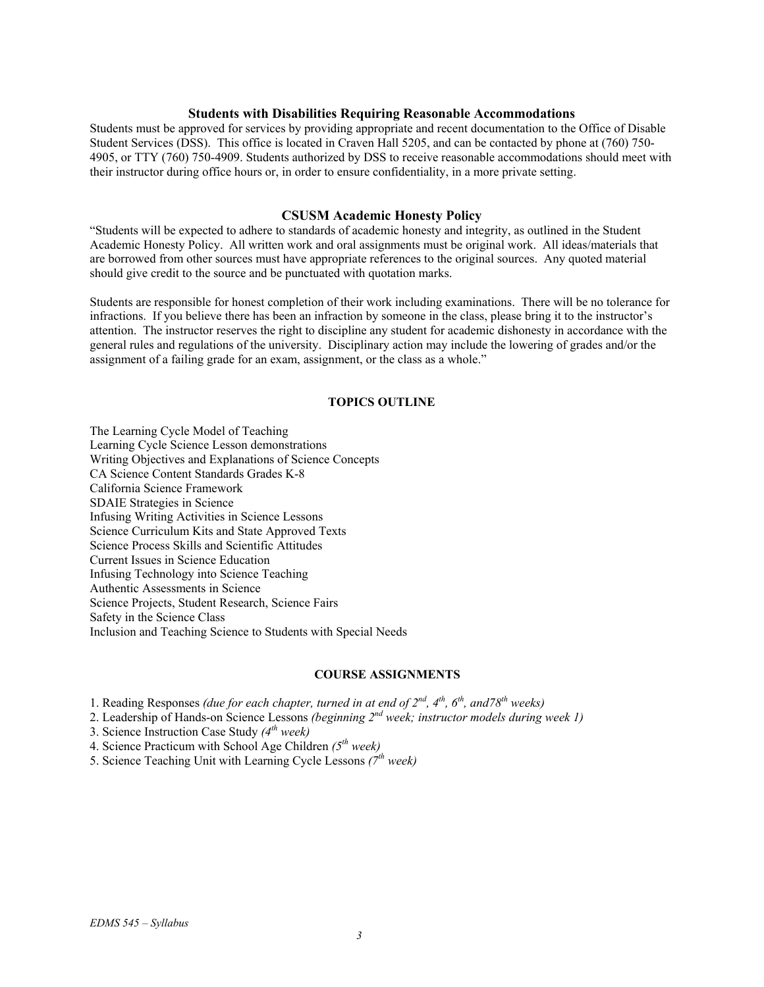## **Students with Disabilities Requiring Reasonable Accommodations**

Students must be approved for services by providing appropriate and recent documentation to the Office of Disable Student Services (DSS). This office is located in Craven Hall 5205, and can be contacted by phone at (760) 750- 4905, or TTY (760) 750-4909. Students authorized by DSS to receive reasonable accommodations should meet with their instructor during office hours or, in order to ensure confidentiality, in a more private setting.

#### **CSUSM Academic Honesty Policy**

"Students will be expected to adhere to standards of academic honesty and integrity, as outlined in the Student Academic Honesty Policy. All written work and oral assignments must be original work. All ideas/materials that are borrowed from other sources must have appropriate references to the original sources. Any quoted material should give credit to the source and be punctuated with quotation marks.

Students are responsible for honest completion of their work including examinations. There will be no tolerance for infractions. If you believe there has been an infraction by someone in the class, please bring it to the instructor's attention. The instructor reserves the right to discipline any student for academic dishonesty in accordance with the general rules and regulations of the university. Disciplinary action may include the lowering of grades and/or the assignment of a failing grade for an exam, assignment, or the class as a whole."

#### **TOPICS OUTLINE**

The Learning Cycle Model of Teaching Learning Cycle Science Lesson demonstrations Writing Objectives and Explanations of Science Concepts CA Science Content Standards Grades K-8 California Science Framework SDAIE Strategies in Science Infusing Writing Activities in Science Lessons Science Curriculum Kits and State Approved Texts Science Process Skills and Scientific Attitudes Current Issues in Science Education Infusing Technology into Science Teaching Authentic Assessments in Science Science Projects, Student Research, Science Fairs Safety in the Science Class Inclusion and Teaching Science to Students with Special Needs

## **COURSE ASSIGNMENTS**

1. Reading Responses *(due for each chapter, turned in at end of 2nd, 4th, 6th, and78th weeks)*

2. Leadership of Hands-on Science Lessons *(beginning 2nd week; instructor models during week 1)* 

3. Science Instruction Case Study *(4th week)*

4. Science Practicum with School Age Children *(5th week)*

5. Science Teaching Unit with Learning Cycle Lessons *(7th week)*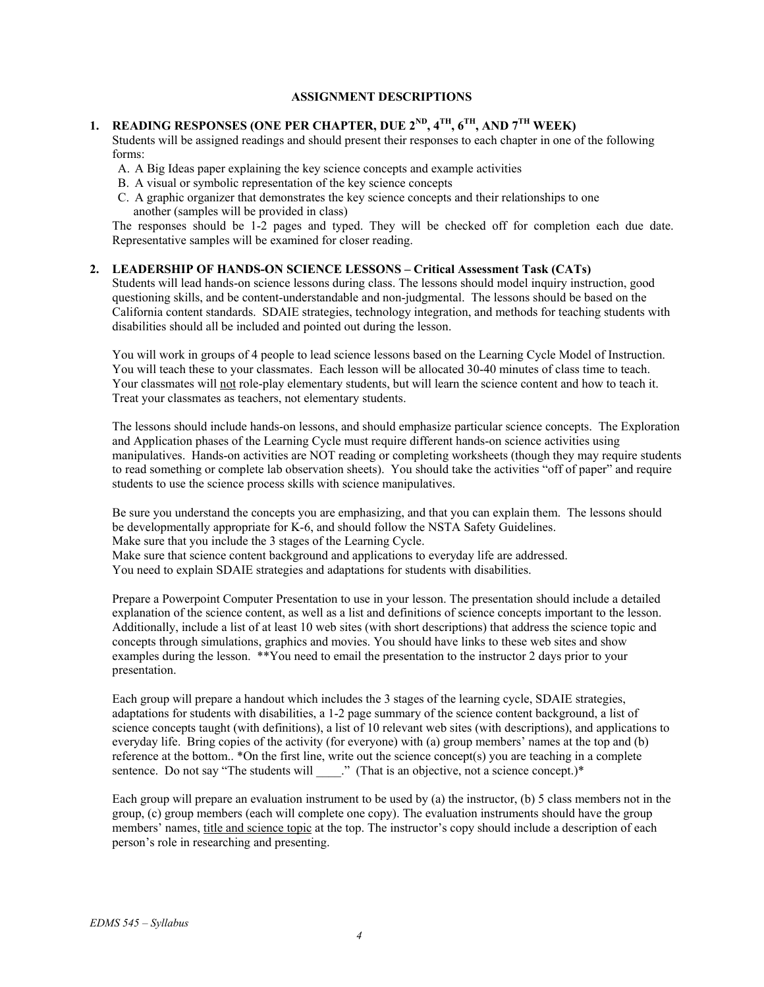## **ASSIGNMENT DESCRIPTIONS**

# **1. READING RESPONSES (ONE PER CHAPTER, DUE 2ND, 4TH, 6TH, AND 7TH WEEK)**

Students will be assigned readings and should present their responses to each chapter in one of the following forms:

- A. A Big Ideas paper explaining the key science concepts and example activities
- B. A visual or symbolic representation of the key science concepts
- C. A graphic organizer that demonstrates the key science concepts and their relationships to one another (samples will be provided in class)

The responses should be 1-2 pages and typed. They will be checked off for completion each due date. Representative samples will be examined for closer reading.

## **2. LEADERSHIP OF HANDS-ON SCIENCE LESSONS – Critical Assessment Task (CATs)**

Students will lead hands-on science lessons during class. The lessons should model inquiry instruction, good questioning skills, and be content-understandable and non-judgmental. The lessons should be based on the California content standards. SDAIE strategies, technology integration, and methods for teaching students with disabilities should all be included and pointed out during the lesson.

You will work in groups of 4 people to lead science lessons based on the Learning Cycle Model of Instruction. You will teach these to your classmates. Each lesson will be allocated 30-40 minutes of class time to teach. Your classmates will not role-play elementary students, but will learn the science content and how to teach it. Treat your classmates as teachers, not elementary students.

The lessons should include hands-on lessons, and should emphasize particular science concepts. The Exploration and Application phases of the Learning Cycle must require different hands-on science activities using manipulatives. Hands-on activities are NOT reading or completing worksheets (though they may require students to read something or complete lab observation sheets). You should take the activities "off of paper" and require students to use the science process skills with science manipulatives.

Be sure you understand the concepts you are emphasizing, and that you can explain them. The lessons should be developmentally appropriate for K-6, and should follow the NSTA Safety Guidelines. Make sure that you include the 3 stages of the Learning Cycle. Make sure that science content background and applications to everyday life are addressed.

You need to explain SDAIE strategies and adaptations for students with disabilities.

Prepare a Powerpoint Computer Presentation to use in your lesson. The presentation should include a detailed explanation of the science content, as well as a list and definitions of science concepts important to the lesson. Additionally, include a list of at least 10 web sites (with short descriptions) that address the science topic and concepts through simulations, graphics and movies. You should have links to these web sites and show examples during the lesson. \*\*You need to email the presentation to the instructor 2 days prior to your presentation.

Each group will prepare a handout which includes the 3 stages of the learning cycle, SDAIE strategies, adaptations for students with disabilities, a 1-2 page summary of the science content background, a list of science concepts taught (with definitions), a list of 10 relevant web sites (with descriptions), and applications to everyday life. Bring copies of the activity (for everyone) with (a) group members' names at the top and (b) reference at the bottom.. \*On the first line, write out the science concept(s) you are teaching in a complete sentence. Do not say "The students will \_\_\_\_.." (That is an objective, not a science concept.)\*

Each group will prepare an evaluation instrument to be used by (a) the instructor, (b) 5 class members not in the group, (c) group members (each will complete one copy). The evaluation instruments should have the group members' names, title and science topic at the top. The instructor's copy should include a description of each person's role in researching and presenting.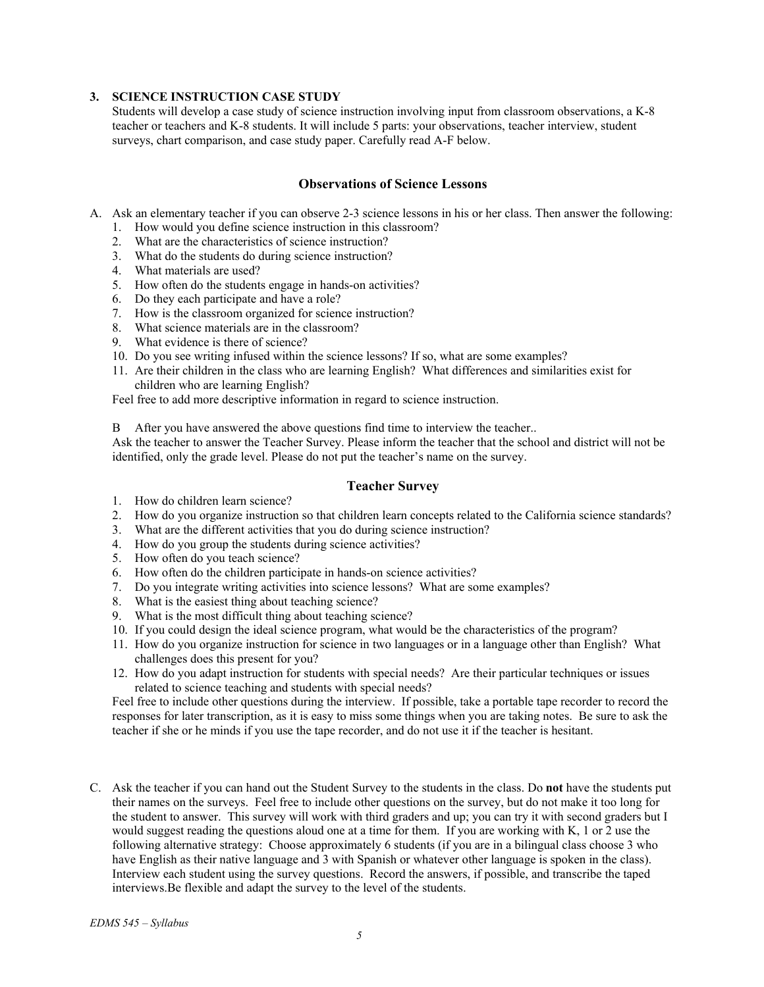## **3. SCIENCE INSTRUCTION CASE STUDY**

Students will develop a case study of science instruction involving input from classroom observations, a K-8 teacher or teachers and K-8 students. It will include 5 parts: your observations, teacher interview, student surveys, chart comparison, and case study paper. Carefully read A-F below.

# **Observations of Science Lessons**

- A. Ask an elementary teacher if you can observe 2-3 science lessons in his or her class. Then answer the following:
	- 1. How would you define science instruction in this classroom?
	- 2. What are the characteristics of science instruction?
	- 3. What do the students do during science instruction?
	- 4. What materials are used?
	- 5. How often do the students engage in hands-on activities?
	- 6. Do they each participate and have a role?
	- 7. How is the classroom organized for science instruction?
	- 8. What science materials are in the classroom?
	- 9. What evidence is there of science?
	- 10. Do you see writing infused within the science lessons? If so, what are some examples?
	- 11. Are their children in the class who are learning English? What differences and similarities exist for children who are learning English?

Feel free to add more descriptive information in regard to science instruction.

B After you have answered the above questions find time to interview the teacher..

Ask the teacher to answer the Teacher Survey. Please inform the teacher that the school and district will not be identified, only the grade level. Please do not put the teacher's name on the survey.

# **Teacher Survey**

- 1. How do children learn science?
- 2. How do you organize instruction so that children learn concepts related to the California science standards?
- 3. What are the different activities that you do during science instruction?
- 4. How do you group the students during science activities?
- 5. How often do you teach science?
- 6. How often do the children participate in hands-on science activities?
- 7. Do you integrate writing activities into science lessons? What are some examples?
- 8. What is the easiest thing about teaching science?
- 9. What is the most difficult thing about teaching science?
- 10. If you could design the ideal science program, what would be the characteristics of the program?
- 11. How do you organize instruction for science in two languages or in a language other than English? What challenges does this present for you?
- 12. How do you adapt instruction for students with special needs? Are their particular techniques or issues related to science teaching and students with special needs?

Feel free to include other questions during the interview. If possible, take a portable tape recorder to record the responses for later transcription, as it is easy to miss some things when you are taking notes. Be sure to ask the teacher if she or he minds if you use the tape recorder, and do not use it if the teacher is hesitant.

C. Ask the teacher if you can hand out the Student Survey to the students in the class. Do **not** have the students put their names on the surveys. Feel free to include other questions on the survey, but do not make it too long for the student to answer. This survey will work with third graders and up; you can try it with second graders but I would suggest reading the questions aloud one at a time for them. If you are working with K, 1 or 2 use the following alternative strategy: Choose approximately 6 students (if you are in a bilingual class choose 3 who have English as their native language and 3 with Spanish or whatever other language is spoken in the class). Interview each student using the survey questions. Record the answers, if possible, and transcribe the taped interviews.Be flexible and adapt the survey to the level of the students.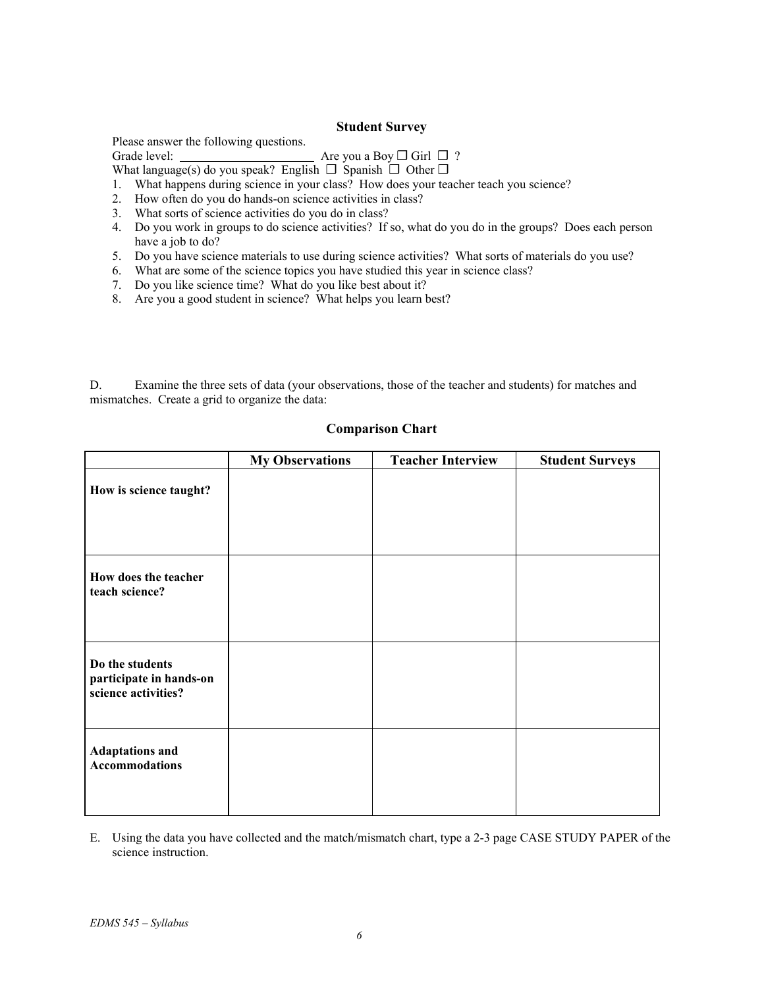## **Student Survey**

Please answer the following questions.

Grade level: <u>Are you a Boy</u> **◯** Girl ◯ ?

What language(s) do you speak? English  $\Box$  Spanish  $\Box$  Other  $\Box$ 

- 1. What happens during science in your class? How does your teacher teach you science?
- 2. How often do you do hands-on science activities in class?
- 3. What sorts of science activities do you do in class?
- 4. Do you work in groups to do science activities? If so, what do you do in the groups? Does each person have a job to do?
- 5. Do you have science materials to use during science activities? What sorts of materials do you use?
- 6. What are some of the science topics you have studied this year in science class?
- 7. Do you like science time? What do you like best about it?
- 8. Are you a good student in science? What helps you learn best?

D. Examine the three sets of data (your observations, those of the teacher and students) for matches and mismatches. Create a grid to organize the data:

|                                                                   | <b>My Observations</b> | <b>Teacher Interview</b> | <b>Student Surveys</b> |
|-------------------------------------------------------------------|------------------------|--------------------------|------------------------|
| How is science taught?                                            |                        |                          |                        |
| How does the teacher<br>teach science?                            |                        |                          |                        |
| Do the students<br>participate in hands-on<br>science activities? |                        |                          |                        |
| <b>Adaptations and</b><br><b>Accommodations</b>                   |                        |                          |                        |

# **Comparison Chart**

E. Using the data you have collected and the match/mismatch chart, type a 2-3 page CASE STUDY PAPER of the science instruction.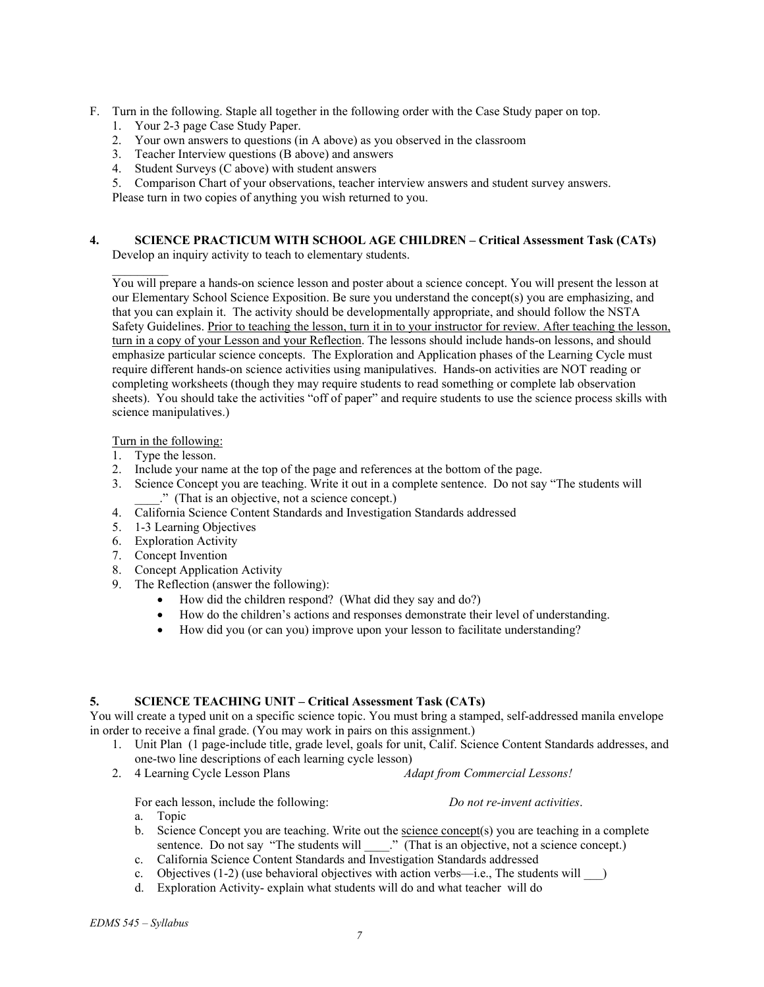- F. Turn in the following. Staple all together in the following order with the Case Study paper on top.
	- 1. Your 2-3 page Case Study Paper.
	- 2. Your own answers to questions (in A above) as you observed in the classroom
	- 3. Teacher Interview questions (B above) and answers
	- 4. Student Surveys (C above) with student answers
	- 5. Comparison Chart of your observations, teacher interview answers and student survey answers.

Please turn in two copies of anything you wish returned to you.

#### **4. SCIENCE PRACTICUM WITH SCHOOL AGE CHILDREN – Critical Assessment Task (CATs)**  Develop an inquiry activity to teach to elementary students.

 $\frac{1}{2}$ You will prepare a hands-on science lesson and poster about a science concept. You will present the lesson at our Elementary School Science Exposition. Be sure you understand the concept(s) you are emphasizing, and that you can explain it. The activity should be developmentally appropriate, and should follow the NSTA Safety Guidelines. Prior to teaching the lesson, turn it in to your instructor for review. After teaching the lesson, turn in a copy of your Lesson and your Reflection. The lessons should include hands-on lessons, and should emphasize particular science concepts. The Exploration and Application phases of the Learning Cycle must require different hands-on science activities using manipulatives. Hands-on activities are NOT reading or completing worksheets (though they may require students to read something or complete lab observation sheets). You should take the activities "off of paper" and require students to use the science process skills with science manipulatives.)

Turn in the following:

- 1. Type the lesson.
- 2. Include your name at the top of the page and references at the bottom of the page.
- 3. Science Concept you are teaching. Write it out in a complete sentence. Do not say "The students will \_\_\_\_." (That is an objective, not a science concept.)
- 4. California Science Content Standards and Investigation Standards addressed
- 5. 1-3 Learning Objectives
- 6. Exploration Activity
- 7. Concept Invention
- 8. Concept Application Activity
- 9. The Reflection (answer the following):
	- How did the children respond? (What did they say and do?)
	- How do the children's actions and responses demonstrate their level of understanding.
	- How did you (or can you) improve upon your lesson to facilitate understanding?

## **5. SCIENCE TEACHING UNIT – Critical Assessment Task (CATs)**

You will create a typed unit on a specific science topic. You must bring a stamped, self-addressed manila envelope in order to receive a final grade. (You may work in pairs on this assignment.)

- 1. Unit Plan (1 page-include title, grade level, goals for unit, Calif. Science Content Standards addresses, and one-two line descriptions of each learning cycle lesson)
- 2. 4 Learning Cycle Lesson Plans *Adapt from Commercial Lessons!*

For each lesson, include the following: *Do not re-invent activities*.

a. Topic

- b. Science Concept you are teaching. Write out the science concept(s) you are teaching in a complete sentence. Do not say "The students will \_\_\_\_." (That is an objective, not a science concept.)
- c. California Science Content Standards and Investigation Standards addressed
- c. Objectives  $(1-2)$  (use behavioral objectives with action verbs—i.e., The students will  $\qquad$ )
- d. Exploration Activity- explain what students will do and what teacher will do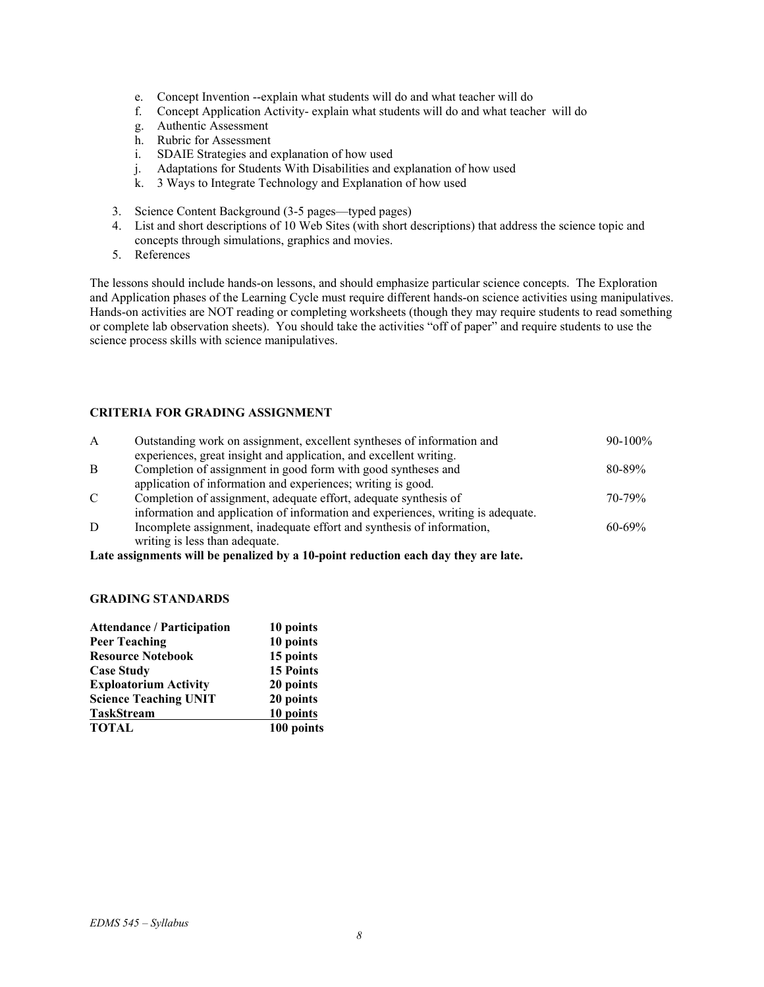- e. Concept Invention --explain what students will do and what teacher will do
- f. Concept Application Activity- explain what students will do and what teacher will do
- g. Authentic Assessment
- h. Rubric for Assessment
- i. SDAIE Strategies and explanation of how used
- j. Adaptations for Students With Disabilities and explanation of how used
- k. 3 Ways to Integrate Technology and Explanation of how used
- 3. Science Content Background (3-5 pages—typed pages)
- 4. List and short descriptions of 10 Web Sites (with short descriptions) that address the science topic and concepts through simulations, graphics and movies.
- 5. References

The lessons should include hands-on lessons, and should emphasize particular science concepts. The Exploration and Application phases of the Learning Cycle must require different hands-on science activities using manipulatives. Hands-on activities are NOT reading or completing worksheets (though they may require students to read something or complete lab observation sheets). You should take the activities "off of paper" and require students to use the science process skills with science manipulatives.

# **CRITERIA FOR GRADING ASSIGNMENT**

| A            | Outstanding work on assignment, excellent syntheses of information and           | $90-100\%$  |
|--------------|----------------------------------------------------------------------------------|-------------|
|              | experiences, great insight and application, and excellent writing.               |             |
| B            | Completion of assignment in good form with good syntheses and                    | $80 - 89\%$ |
|              | application of information and experiences; writing is good.                     |             |
| $\mathbf{C}$ | Completion of assignment, adequate effort, adequate synthesis of                 | $70 - 79%$  |
|              | information and application of information and experiences, writing is adequate. |             |
| D            | Incomplete assignment, inadequate effort and synthesis of information,           | $60 - 69\%$ |
|              | writing is less than adequate.                                                   |             |

**Late assignments will be penalized by a 10-point reduction each day they are late.** 

#### **GRADING STANDARDS**

| <b>Attendance / Participation</b> | 10 points        |
|-----------------------------------|------------------|
| <b>Peer Teaching</b>              | 10 points        |
| <b>Resource Notebook</b>          | 15 points        |
| <b>Case Study</b>                 | <b>15 Points</b> |
| <b>Exploatorium Activity</b>      | 20 points        |
| <b>Science Teaching UNIT</b>      | 20 points        |
| <b>TaskStream</b>                 | 10 points        |
| <b>TOTAL</b>                      | 100 points       |